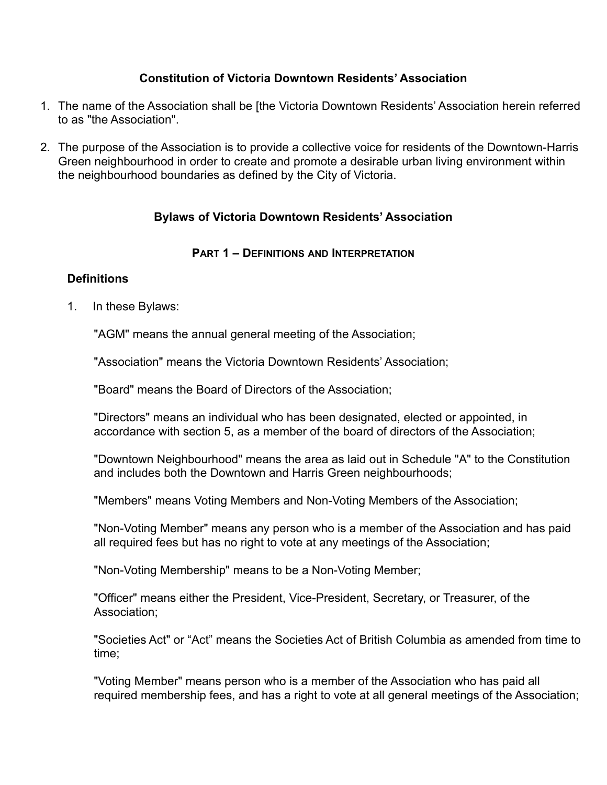## **Constitution of Victoria Downtown Residents' Association**

- 1. The name of the Association shall be [the Victoria Downtown Residents' Association herein referred to as "the Association".
- 2. The purpose of the Association is to provide a collective voice for residents of the Downtown-Harris Green neighbourhood in order to create and promote a desirable urban living environment within the neighbourhood boundaries as defined by the City of Victoria.

# **Bylaws of Victoria Downtown Residents' Association**

## **PART 1 – DEFINITIONS AND INTERPRETATION**

## **Definitions**

1. In these Bylaws:

"AGM" means the annual general meeting of the Association;

"Association" means the Victoria Downtown Residents' Association;

"Board" means the Board of Directors of the Association;

"Directors" means an individual who has been designated, elected or appointed, in accordance with section 5, as a member of the board of directors of the Association;

"Downtown Neighbourhood" means the area as laid out in Schedule "A" to the Constitution and includes both the Downtown and Harris Green neighbourhoods;

"Members" means Voting Members and Non-Voting Members of the Association;

"Non-Voting Member" means any person who is a member of the Association and has paid all required fees but has no right to vote at any meetings of the Association;

"Non-Voting Membership" means to be a Non-Voting Member;

"Officer" means either the President, Vice-President, Secretary, or Treasurer, of the Association;

"Societies Act" or "Act" means the Societies Act of British Columbia as amended from time to time;

"Voting Member" means person who is a member of the Association who has paid all required membership fees, and has a right to vote at all general meetings of the Association;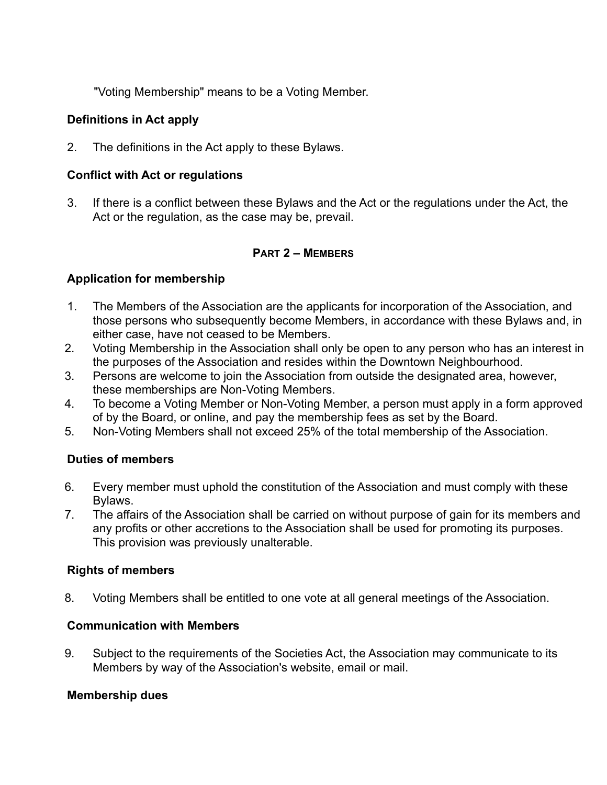"Voting Membership" means to be a Voting Member.

# **Definitions in Act apply**

2. The definitions in the Act apply to these Bylaws.

## **Conflict with Act or regulations**

3. If there is a conflict between these Bylaws and the Act or the regulations under the Act, the Act or the regulation, as the case may be, prevail.

## **PART 2 – MEMBERS**

## **Application for membership**

- 1. The Members of the Association are the applicants for incorporation of the Association, and those persons who subsequently become Members, in accordance with these Bylaws and, in either case, have not ceased to be Members.
- 2. Voting Membership in the Association shall only be open to any person who has an interest in the purposes of the Association and resides within the Downtown Neighbourhood.
- 3. Persons are welcome to join the Association from outside the designated area, however, these memberships are Non-Voting Members.
- 4. To become a Voting Member or Non-Voting Member, a person must apply in a form approved of by the Board, or online, and pay the membership fees as set by the Board.
- 5. Non-Voting Members shall not exceed 25% of the total membership of the Association.

## **Duties of members**

- 6. Every member must uphold the constitution of the Association and must comply with these Bylaws.
- 7. The affairs of the Association shall be carried on without purpose of gain for its members and any profits or other accretions to the Association shall be used for promoting its purposes. This provision was previously unalterable.

## **Rights of members**

8. Voting Members shall be entitled to one vote at all general meetings of the Association.

## **Communication with Members**

9. Subject to the requirements of the Societies Act, the Association may communicate to its Members by way of the Association's website, email or mail.

# **Membership dues**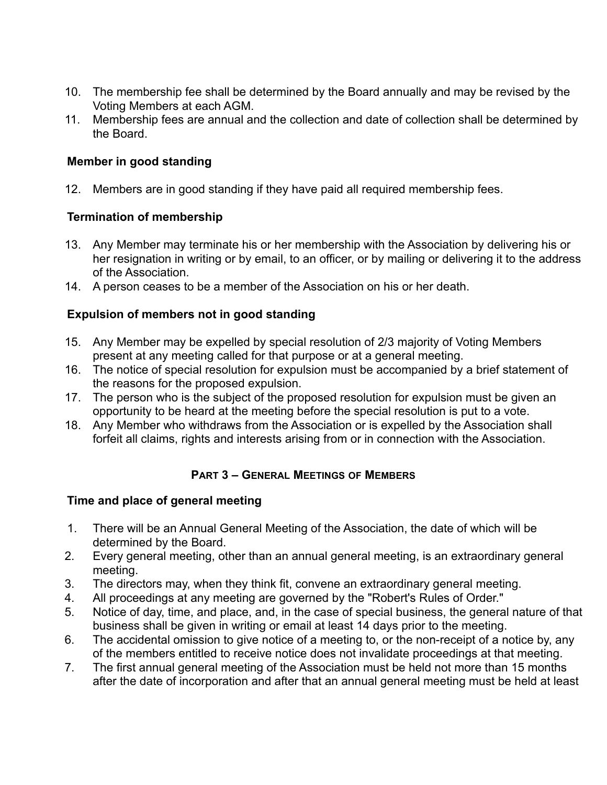- 10. The membership fee shall be determined by the Board annually and may be revised by the Voting Members at each AGM.
- 11. Membership fees are annual and the collection and date of collection shall be determined by the Board.

# **Member in good standing**

12. Members are in good standing if they have paid all required membership fees.

# **Termination of membership**

- 13. Any Member may terminate his or her membership with the Association by delivering his or her resignation in writing or by email, to an officer, or by mailing or delivering it to the address of the Association.
- 14. A person ceases to be a member of the Association on his or her death.

# **Expulsion of members not in good standing**

- 15. Any Member may be expelled by special resolution of 2/3 majority of Voting Members present at any meeting called for that purpose or at a general meeting.
- 16. The notice of special resolution for expulsion must be accompanied by a brief statement of the reasons for the proposed expulsion.
- 17. The person who is the subject of the proposed resolution for expulsion must be given an opportunity to be heard at the meeting before the special resolution is put to a vote.
- 18. Any Member who withdraws from the Association or is expelled by the Association shall forfeit all claims, rights and interests arising from or in connection with the Association.

# **PART 3 – GENERAL MEETINGS OF MEMBERS**

# **Time and place of general meeting**

- 1. There will be an Annual General Meeting of the Association, the date of which will be determined by the Board.
- 2. Every general meeting, other than an annual general meeting, is an extraordinary general meeting.
- 3. The directors may, when they think fit, convene an extraordinary general meeting.
- 4. All proceedings at any meeting are governed by the "Robert's Rules of Order."
- 5. Notice of day, time, and place, and, in the case of special business, the general nature of that business shall be given in writing or email at least 14 days prior to the meeting.
- 6. The accidental omission to give notice of a meeting to, or the non-receipt of a notice by, any of the members entitled to receive notice does not invalidate proceedings at that meeting.
- 7. The first annual general meeting of the Association must be held not more than 15 months after the date of incorporation and after that an annual general meeting must be held at least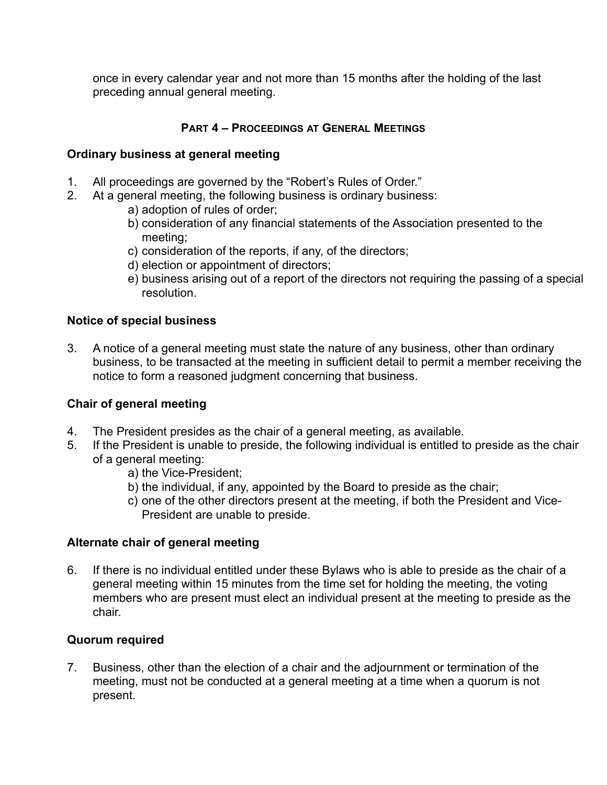once in every calendar year and not more than 15 months after the holding of the last preceding annual general meeting.

# **PART 4 – PROCEEDINGS AT GENERAL MEETINGS**

## **Ordinary business at general meeting**

- 1. All proceedings are governed by the "Robert's Rules of Order."
- 2. At a general meeting, the following business is ordinary business:
	- a) adoption of rules of order;
	- b) consideration of any financial statements of the Association presented to the meeting;
	- c) consideration of the reports, if any, of the directors;
	- d) election or appointment of directors;
	- e) business arising out of a report of the directors not requiring the passing of a special resolution.

# **Notice of special business**

3. A notice of a general meeting must state the nature of any business, other than ordinary business, to be transacted at the meeting in sufficient detail to permit a member receiving the notice to form a reasoned judgment concerning that business.

## **Chair of general meeting**

- 4. The President presides as the chair of a general meeting, as available.
- 5. If the President is unable to preside, the following individual is entitled to preside as the chair of a general meeting:
	- a) the Vice-President;
	- b) the individual, if any, appointed by the Board to preside as the chair;
	- c) one of the other directors present at the meeting, if both the President and Vice-President are unable to preside.

## **Alternate chair of general meeting**

6. If there is no individual entitled under these Bylaws who is able to preside as the chair of a general meeting within 15 minutes from the time set for holding the meeting, the voting members who are present must elect an individual present at the meeting to preside as the chair.

## **Quorum required**

7. Business, other than the election of a chair and the adjournment or termination of the meeting, must not be conducted at a general meeting at a time when a quorum is not present.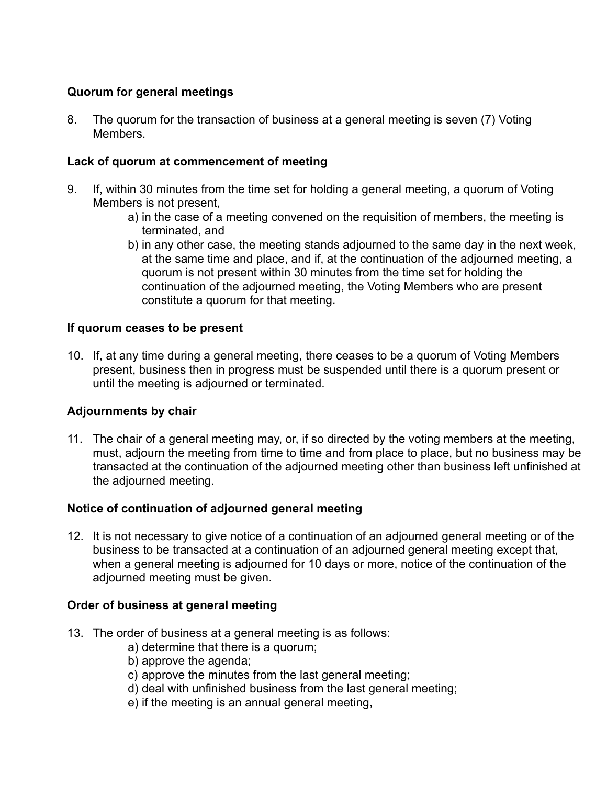# **Quorum for general meetings**

8. The quorum for the transaction of business at a general meeting is seven (7) Voting **Members** 

## **Lack of quorum at commencement of meeting**

- 9. If, within 30 minutes from the time set for holding a general meeting, a quorum of Voting Members is not present,
	- a) in the case of a meeting convened on the requisition of members, the meeting is terminated, and
	- b) in any other case, the meeting stands adjourned to the same day in the next week, at the same time and place, and if, at the continuation of the adjourned meeting, a quorum is not present within 30 minutes from the time set for holding the continuation of the adjourned meeting, the Voting Members who are present constitute a quorum for that meeting.

## **If quorum ceases to be present**

10. If, at any time during a general meeting, there ceases to be a quorum of Voting Members present, business then in progress must be suspended until there is a quorum present or until the meeting is adjourned or terminated.

# **Adjournments by chair**

11. The chair of a general meeting may, or, if so directed by the voting members at the meeting, must, adjourn the meeting from time to time and from place to place, but no business may be transacted at the continuation of the adjourned meeting other than business left unfinished at the adjourned meeting.

# **Notice of continuation of adjourned general meeting**

12. It is not necessary to give notice of a continuation of an adjourned general meeting or of the business to be transacted at a continuation of an adjourned general meeting except that, when a general meeting is adjourned for 10 days or more, notice of the continuation of the adjourned meeting must be given.

# **Order of business at general meeting**

- 13. The order of business at a general meeting is as follows:
	- a) determine that there is a quorum;
	- b) approve the agenda;
	- c) approve the minutes from the last general meeting;
	- d) deal with unfinished business from the last general meeting;
	- e) if the meeting is an annual general meeting,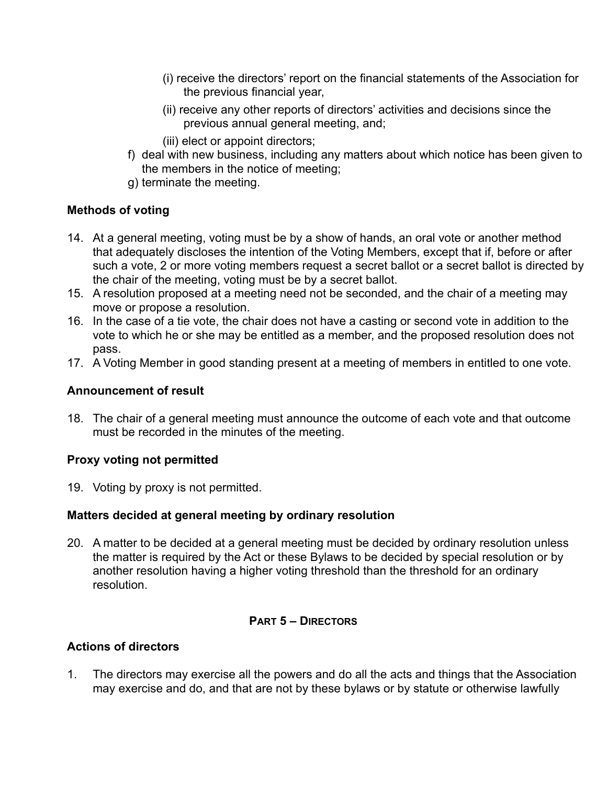- (i) receive the directors' report on the financial statements of the Association for the previous financial year,
- (ii) receive any other reports of directors' activities and decisions since the previous annual general meeting, and;
- (iii) elect or appoint directors;
- f) deal with new business, including any matters about which notice has been given to the members in the notice of meeting;
- g) terminate the meeting.

# **Methods of voting**

- 14. At a general meeting, voting must be by a show of hands, an oral vote or another method that adequately discloses the intention of the Voting Members, except that if, before or after such a vote, 2 or more voting members request a secret ballot or a secret ballot is directed by the chair of the meeting, voting must be by a secret ballot.
- 15. A resolution proposed at a meeting need not be seconded, and the chair of a meeting may move or propose a resolution.
- 16. In the case of a tie vote, the chair does not have a casting or second vote in addition to the vote to which he or she may be entitled as a member, and the proposed resolution does not pass.
- 17. A Voting Member in good standing present at a meeting of members in entitled to one vote.

## **Announcement of result**

18. The chair of a general meeting must announce the outcome of each vote and that outcome must be recorded in the minutes of the meeting.

## **Proxy voting not permitted**

19. Voting by proxy is not permitted.

# **Matters decided at general meeting by ordinary resolution**

20. A matter to be decided at a general meeting must be decided by ordinary resolution unless the matter is required by the Act or these Bylaws to be decided by special resolution or by another resolution having a higher voting threshold than the threshold for an ordinary resolution.

# **PART 5 – DIRECTORS**

# **Actions of directors**

1. The directors may exercise all the powers and do all the acts and things that the Association may exercise and do, and that are not by these bylaws or by statute or otherwise lawfully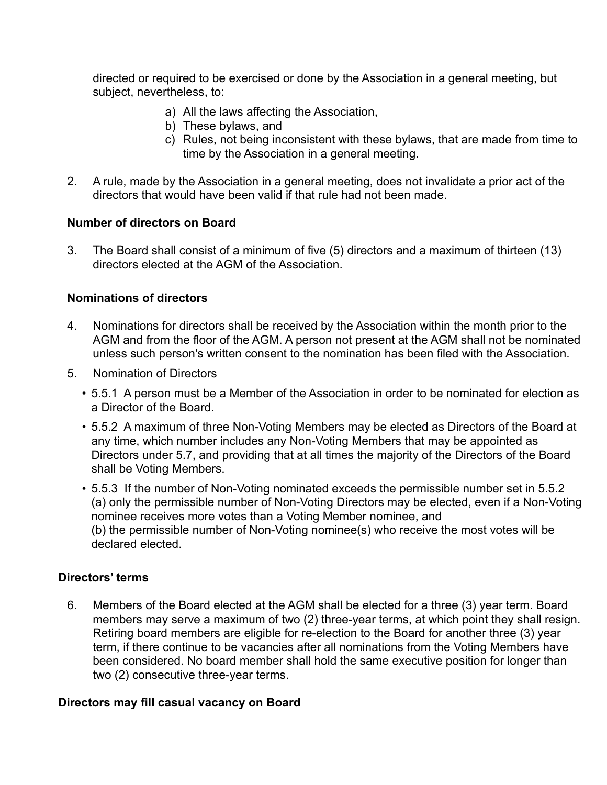directed or required to be exercised or done by the Association in a general meeting, but subject, nevertheless, to:

- a) All the laws affecting the Association,
- b) These bylaws, and
- c) Rules, not being inconsistent with these bylaws, that are made from time to time by the Association in a general meeting.
- 2. A rule, made by the Association in a general meeting, does not invalidate a prior act of the directors that would have been valid if that rule had not been made.

## **Number of directors on Board**

3. The Board shall consist of a minimum of five (5) directors and a maximum of thirteen (13) directors elected at the AGM of the Association.

## **Nominations of directors**

- 4. Nominations for directors shall be received by the Association within the month prior to the AGM and from the floor of the AGM. A person not present at the AGM shall not be nominated unless such person's written consent to the nomination has been filed with the Association.
- 5. Nomination of Directors
	- 5.5.1 A person must be a Member of the Association in order to be nominated for election as a Director of the Board.
	- 5.5.2 A maximum of three Non-Voting Members may be elected as Directors of the Board at any time, which number includes any Non-Voting Members that may be appointed as Directors under 5.7, and providing that at all times the majority of the Directors of the Board shall be Voting Members.
	- 5.5.3 If the number of Non-Voting nominated exceeds the permissible number set in 5.5.2 (a) only the permissible number of Non-Voting Directors may be elected, even if a Non-Voting nominee receives more votes than a Voting Member nominee, and (b) the permissible number of Non-Voting nominee(s) who receive the most votes will be declared elected.

# **Directors' terms**

6. Members of the Board elected at the AGM shall be elected for a three (3) year term. Board members may serve a maximum of two (2) three-year terms, at which point they shall resign. Retiring board members are eligible for re-election to the Board for another three (3) year term, if there continue to be vacancies after all nominations from the Voting Members have been considered. No board member shall hold the same executive position for longer than two (2) consecutive three-year terms.

## **Directors may fill casual vacancy on Board**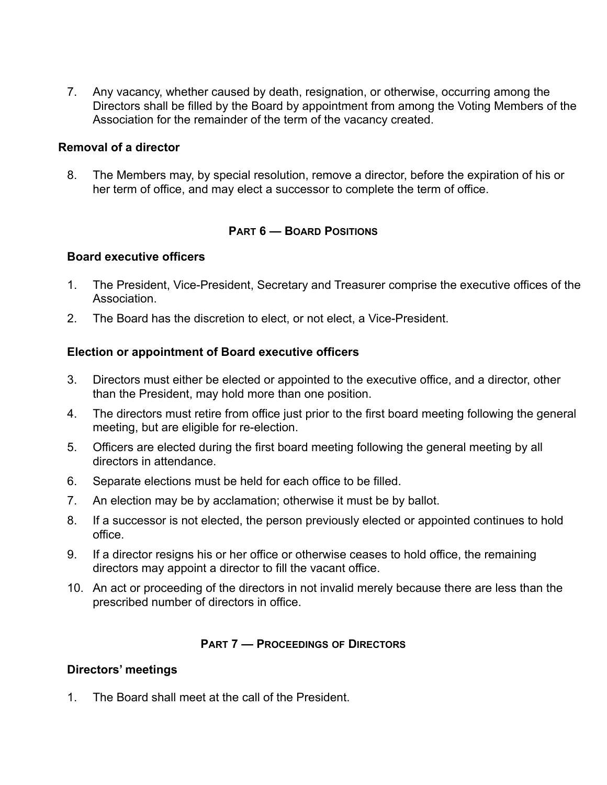7. Any vacancy, whether caused by death, resignation, or otherwise, occurring among the Directors shall be filled by the Board by appointment from among the Voting Members of the Association for the remainder of the term of the vacancy created.

#### **Removal of a director**

8. The Members may, by special resolution, remove a director, before the expiration of his or her term of office, and may elect a successor to complete the term of office.

#### **PART 6 — BOARD POSITIONS**

#### **Board executive officers**

- 1. The President, Vice-President, Secretary and Treasurer comprise the executive offices of the **Association**
- 2. The Board has the discretion to elect, or not elect, a Vice-President.

#### **Election or appointment of Board executive officers**

- 3. Directors must either be elected or appointed to the executive office, and a director, other than the President, may hold more than one position.
- 4. The directors must retire from office just prior to the first board meeting following the general meeting, but are eligible for re-election.
- 5. Officers are elected during the first board meeting following the general meeting by all directors in attendance.
- 6. Separate elections must be held for each office to be filled.
- 7. An election may be by acclamation; otherwise it must be by ballot.
- 8. If a successor is not elected, the person previously elected or appointed continues to hold office.
- 9. If a director resigns his or her office or otherwise ceases to hold office, the remaining directors may appoint a director to fill the vacant office.
- 10. An act or proceeding of the directors in not invalid merely because there are less than the prescribed number of directors in office.

## **PART 7 — PROCEEDINGS OF DIRECTORS**

## **Directors' meetings**

1. The Board shall meet at the call of the President.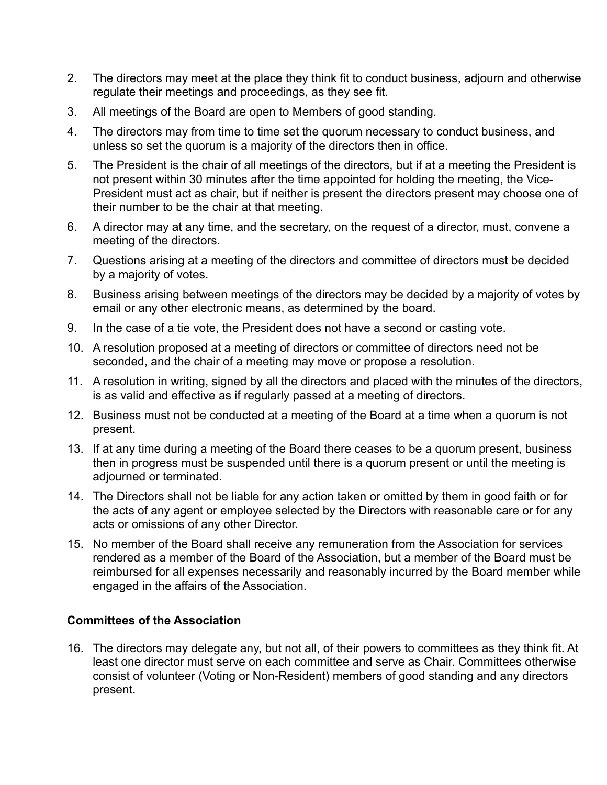- 2. The directors may meet at the place they think fit to conduct business, adjourn and otherwise regulate their meetings and proceedings, as they see fit.
- 3. All meetings of the Board are open to Members of good standing.
- 4. The directors may from time to time set the quorum necessary to conduct business, and unless so set the quorum is a majority of the directors then in office.
- 5. The President is the chair of all meetings of the directors, but if at a meeting the President is not present within 30 minutes after the time appointed for holding the meeting, the Vice-President must act as chair, but if neither is present the directors present may choose one of their number to be the chair at that meeting.
- 6. A director may at any time, and the secretary, on the request of a director, must, convene a meeting of the directors.
- 7. Questions arising at a meeting of the directors and committee of directors must be decided by a majority of votes.
- 8. Business arising between meetings of the directors may be decided by a majority of votes by email or any other electronic means, as determined by the board.
- 9. In the case of a tie vote, the President does not have a second or casting vote.
- 10. A resolution proposed at a meeting of directors or committee of directors need not be seconded, and the chair of a meeting may move or propose a resolution.
- 11. A resolution in writing, signed by all the directors and placed with the minutes of the directors, is as valid and effective as if regularly passed at a meeting of directors.
- 12. Business must not be conducted at a meeting of the Board at a time when a quorum is not present.
- 13. If at any time during a meeting of the Board there ceases to be a quorum present, business then in progress must be suspended until there is a quorum present or until the meeting is adjourned or terminated.
- 14. The Directors shall not be liable for any action taken or omitted by them in good faith or for the acts of any agent or employee selected by the Directors with reasonable care or for any acts or omissions of any other Director.
- 15. No member of the Board shall receive any remuneration from the Association for services rendered as a member of the Board of the Association, but a member of the Board must be reimbursed for all expenses necessarily and reasonably incurred by the Board member while engaged in the affairs of the Association.

# **Committees of the Association**

16. The directors may delegate any, but not all, of their powers to committees as they think fit. At least one director must serve on each committee and serve as Chair. Committees otherwise consist of volunteer (Voting or Non-Resident) members of good standing and any directors present.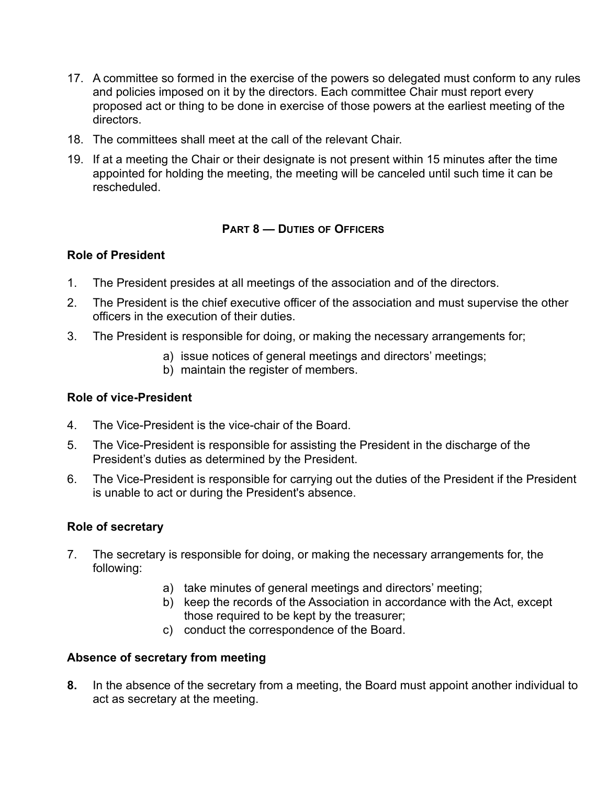- 17. A committee so formed in the exercise of the powers so delegated must conform to any rules and policies imposed on it by the directors. Each committee Chair must report every proposed act or thing to be done in exercise of those powers at the earliest meeting of the directors.
- 18. The committees shall meet at the call of the relevant Chair.
- 19. If at a meeting the Chair or their designate is not present within 15 minutes after the time appointed for holding the meeting, the meeting will be canceled until such time it can be rescheduled.

# **PART 8 — DUTIES OF OFFICERS**

## **Role of President**

- 1. The President presides at all meetings of the association and of the directors.
- 2. The President is the chief executive officer of the association and must supervise the other officers in the execution of their duties.
- 3. The President is responsible for doing, or making the necessary arrangements for;
	- a) issue notices of general meetings and directors' meetings;
	- b) maintain the register of members.

## **Role of vice-President**

- 4. The Vice-President is the vice-chair of the Board.
- 5. The Vice-President is responsible for assisting the President in the discharge of the President's duties as determined by the President.
- 6. The Vice-President is responsible for carrying out the duties of the President if the President is unable to act or during the President's absence.

# **Role of secretary**

- 7. The secretary is responsible for doing, or making the necessary arrangements for, the following:
	- a) take minutes of general meetings and directors' meeting;
	- b) keep the records of the Association in accordance with the Act, except those required to be kept by the treasurer;
	- c) conduct the correspondence of the Board.

# **Absence of secretary from meeting**

**8.** In the absence of the secretary from a meeting, the Board must appoint another individual to act as secretary at the meeting.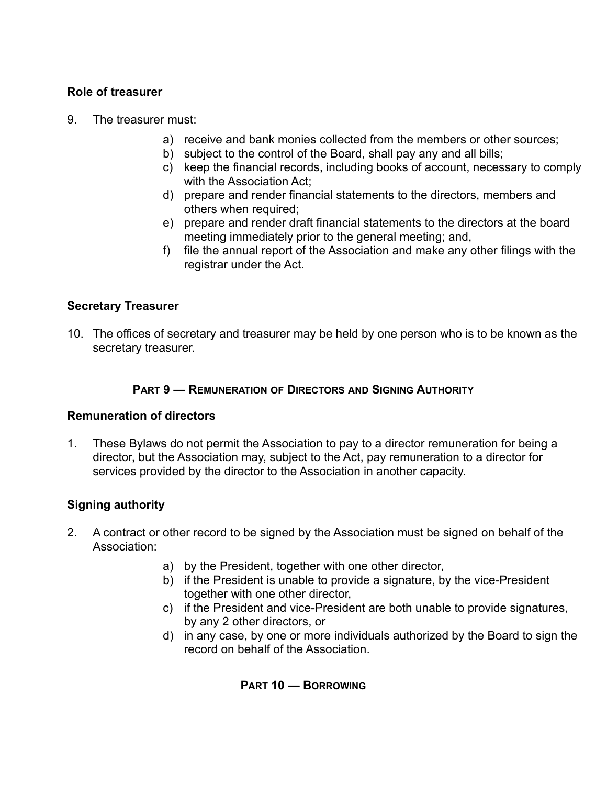# **Role of treasurer**

- 9. The treasurer must:
	- a) receive and bank monies collected from the members or other sources;
	- b) subject to the control of the Board, shall pay any and all bills;
	- c) keep the financial records, including books of account, necessary to comply with the Association Act:
	- d) prepare and render financial statements to the directors, members and others when required;
	- e) prepare and render draft financial statements to the directors at the board meeting immediately prior to the general meeting; and,
	- f) file the annual report of the Association and make any other filings with the registrar under the Act.

## **Secretary Treasurer**

10. The offices of secretary and treasurer may be held by one person who is to be known as the secretary treasurer.

#### **PART 9 — REMUNERATION OF DIRECTORS AND SIGNING AUTHORITY**

## **Remuneration of directors**

1. These Bylaws do not permit the Association to pay to a director remuneration for being a director, but the Association may, subject to the Act, pay remuneration to a director for services provided by the director to the Association in another capacity.

## **Signing authority**

- 2. A contract or other record to be signed by the Association must be signed on behalf of the Association:
	- a) by the President, together with one other director,
	- b) if the President is unable to provide a signature, by the vice-President together with one other director,
	- c) if the President and vice-President are both unable to provide signatures, by any 2 other directors, or
	- d) in any case, by one or more individuals authorized by the Board to sign the record on behalf of the Association.

**PART 10 — BORROWING**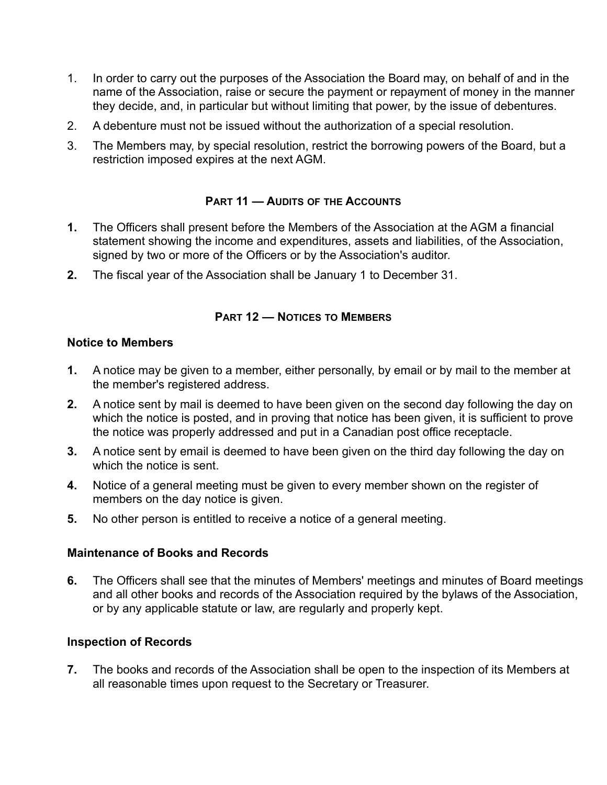- 1. In order to carry out the purposes of the Association the Board may, on behalf of and in the name of the Association, raise or secure the payment or repayment of money in the manner they decide, and, in particular but without limiting that power, by the issue of debentures.
- 2. A debenture must not be issued without the authorization of a special resolution.
- 3. The Members may, by special resolution, restrict the borrowing powers of the Board, but a restriction imposed expires at the next AGM.

# **PART 11 — AUDITS OF THE ACCOUNTS**

- **1.** The Officers shall present before the Members of the Association at the AGM a financial statement showing the income and expenditures, assets and liabilities, of the Association, signed by two or more of the Officers or by the Association's auditor.
- **2.** The fiscal year of the Association shall be January 1 to December 31.

## **PART 12 — NOTICES TO MEMBERS**

## **Notice to Members**

- **1.** A notice may be given to a member, either personally, by email or by mail to the member at the member's registered address.
- **2.** A notice sent by mail is deemed to have been given on the second day following the day on which the notice is posted, and in proving that notice has been given, it is sufficient to prove the notice was properly addressed and put in a Canadian post office receptacle.
- **3.** A notice sent by email is deemed to have been given on the third day following the day on which the notice is sent.
- **4.** Notice of a general meeting must be given to every member shown on the register of members on the day notice is given.
- **5.** No other person is entitled to receive a notice of a general meeting.

# **Maintenance of Books and Records**

**6.** The Officers shall see that the minutes of Members' meetings and minutes of Board meetings and all other books and records of the Association required by the bylaws of the Association, or by any applicable statute or law, are regularly and properly kept.

## **Inspection of Records**

**7.** The books and records of the Association shall be open to the inspection of its Members at all reasonable times upon request to the Secretary or Treasurer.